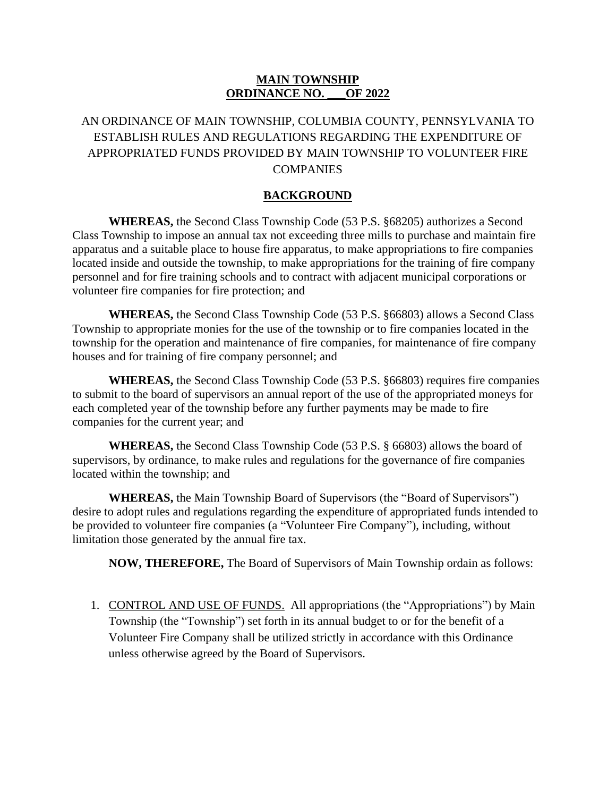## **MAIN TOWNSHIP ORDINANCE NO. \_\_\_OF 2022**

## AN ORDINANCE OF MAIN TOWNSHIP, COLUMBIA COUNTY, PENNSYLVANIA TO ESTABLISH RULES AND REGULATIONS REGARDING THE EXPENDITURE OF APPROPRIATED FUNDS PROVIDED BY MAIN TOWNSHIP TO VOLUNTEER FIRE **COMPANIES**

#### **BACKGROUND**

**WHEREAS,** the Second Class Township Code (53 P.S. §68205) authorizes a Second Class Township to impose an annual tax not exceeding three mills to purchase and maintain fire apparatus and a suitable place to house fire apparatus, to make appropriations to fire companies located inside and outside the township, to make appropriations for the training of fire company personnel and for fire training schools and to contract with adjacent municipal corporations or volunteer fire companies for fire protection; and

**WHEREAS,** the Second Class Township Code (53 P.S. §66803) allows a Second Class Township to appropriate monies for the use of the township or to fire companies located in the township for the operation and maintenance of fire companies, for maintenance of fire company houses and for training of fire company personnel; and

**WHEREAS,** the Second Class Township Code (53 P.S. §66803) requires fire companies to submit to the board of supervisors an annual report of the use of the appropriated moneys for each completed year of the township before any further payments may be made to fire companies for the current year; and

**WHEREAS,** the Second Class Township Code (53 P.S. § 66803) allows the board of supervisors, by ordinance, to make rules and regulations for the governance of fire companies located within the township; and

**WHEREAS,** the Main Township Board of Supervisors (the "Board of Supervisors") desire to adopt rules and regulations regarding the expenditure of appropriated funds intended to be provided to volunteer fire companies (a "Volunteer Fire Company"), including, without limitation those generated by the annual fire tax.

**NOW, THEREFORE,** The Board of Supervisors of Main Township ordain as follows:

1. CONTROL AND USE OF FUNDS. All appropriations (the "Appropriations") by Main Township (the "Township") set forth in its annual budget to or for the benefit of a Volunteer Fire Company shall be utilized strictly in accordance with this Ordinance unless otherwise agreed by the Board of Supervisors.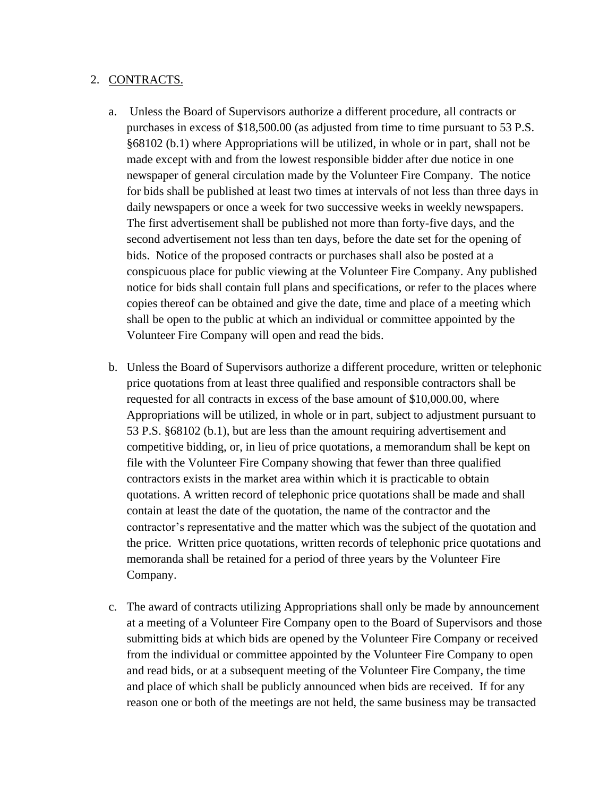## 2. CONTRACTS.

- a. Unless the Board of Supervisors authorize a different procedure, all contracts or purchases in excess of \$18,500.00 (as adjusted from time to time pursuant to 53 P.S. §68102 (b.1) where Appropriations will be utilized, in whole or in part, shall not be made except with and from the lowest responsible bidder after due notice in one newspaper of general circulation made by the Volunteer Fire Company. The notice for bids shall be published at least two times at intervals of not less than three days in daily newspapers or once a week for two successive weeks in weekly newspapers. The first advertisement shall be published not more than forty-five days, and the second advertisement not less than ten days, before the date set for the opening of bids. Notice of the proposed contracts or purchases shall also be posted at a conspicuous place for public viewing at the Volunteer Fire Company. Any published notice for bids shall contain full plans and specifications, or refer to the places where copies thereof can be obtained and give the date, time and place of a meeting which shall be open to the public at which an individual or committee appointed by the Volunteer Fire Company will open and read the bids.
- b. Unless the Board of Supervisors authorize a different procedure, written or telephonic price quotations from at least three qualified and responsible contractors shall be requested for all contracts in excess of the base amount of \$10,000.00, where Appropriations will be utilized, in whole or in part, subject to adjustment pursuant to 53 P.S. §68102 (b.1), but are less than the amount requiring advertisement and competitive bidding, or, in lieu of price quotations, a memorandum shall be kept on file with the Volunteer Fire Company showing that fewer than three qualified contractors exists in the market area within which it is practicable to obtain quotations. A written record of telephonic price quotations shall be made and shall contain at least the date of the quotation, the name of the contractor and the contractor's representative and the matter which was the subject of the quotation and the price. Written price quotations, written records of telephonic price quotations and memoranda shall be retained for a period of three years by the Volunteer Fire Company.
- c. The award of contracts utilizing Appropriations shall only be made by announcement at a meeting of a Volunteer Fire Company open to the Board of Supervisors and those submitting bids at which bids are opened by the Volunteer Fire Company or received from the individual or committee appointed by the Volunteer Fire Company to open and read bids, or at a subsequent meeting of the Volunteer Fire Company, the time and place of which shall be publicly announced when bids are received. If for any reason one or both of the meetings are not held, the same business may be transacted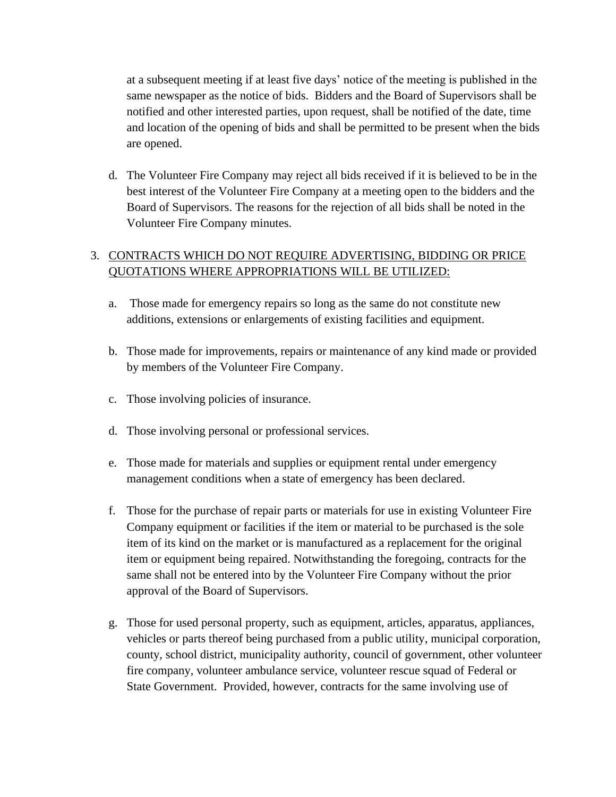at a subsequent meeting if at least five days' notice of the meeting is published in the same newspaper as the notice of bids. Bidders and the Board of Supervisors shall be notified and other interested parties, upon request, shall be notified of the date, time and location of the opening of bids and shall be permitted to be present when the bids are opened.

d. The Volunteer Fire Company may reject all bids received if it is believed to be in the best interest of the Volunteer Fire Company at a meeting open to the bidders and the Board of Supervisors. The reasons for the rejection of all bids shall be noted in the Volunteer Fire Company minutes.

# 3. CONTRACTS WHICH DO NOT REQUIRE ADVERTISING, BIDDING OR PRICE QUOTATIONS WHERE APPROPRIATIONS WILL BE UTILIZED:

- a. Those made for emergency repairs so long as the same do not constitute new additions, extensions or enlargements of existing facilities and equipment.
- b. Those made for improvements, repairs or maintenance of any kind made or provided by members of the Volunteer Fire Company.
- c. Those involving policies of insurance.
- d. Those involving personal or professional services.
- e. Those made for materials and supplies or equipment rental under emergency management conditions when a state of emergency has been declared.
- f. Those for the purchase of repair parts or materials for use in existing Volunteer Fire Company equipment or facilities if the item or material to be purchased is the sole item of its kind on the market or is manufactured as a replacement for the original item or equipment being repaired. Notwithstanding the foregoing, contracts for the same shall not be entered into by the Volunteer Fire Company without the prior approval of the Board of Supervisors.
- g. Those for used personal property, such as equipment, articles, apparatus, appliances, vehicles or parts thereof being purchased from a public utility, municipal corporation, county, school district, municipality authority, council of government, other volunteer fire company, volunteer ambulance service, volunteer rescue squad of Federal or State Government. Provided, however, contracts for the same involving use of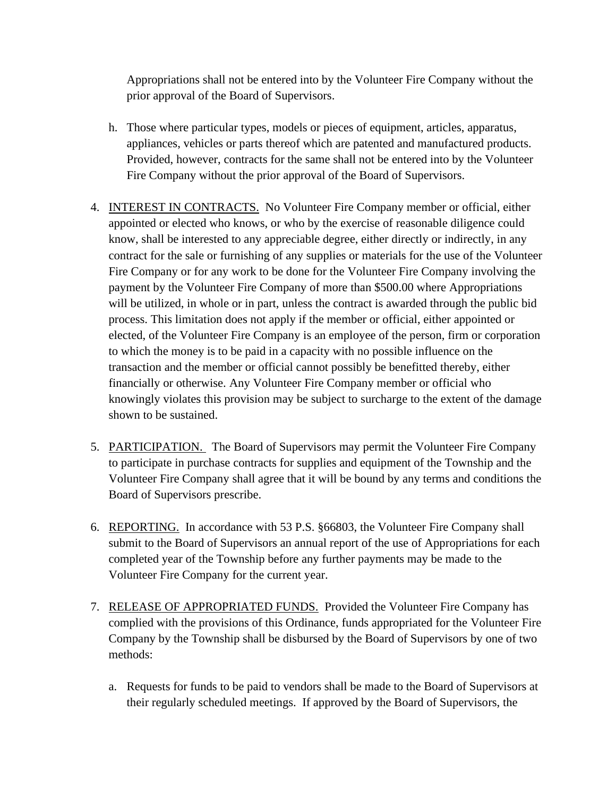Appropriations shall not be entered into by the Volunteer Fire Company without the prior approval of the Board of Supervisors.

- h. Those where particular types, models or pieces of equipment, articles, apparatus, appliances, vehicles or parts thereof which are patented and manufactured products. Provided, however, contracts for the same shall not be entered into by the Volunteer Fire Company without the prior approval of the Board of Supervisors.
- 4. INTEREST IN CONTRACTS. No Volunteer Fire Company member or official, either appointed or elected who knows, or who by the exercise of reasonable diligence could know, shall be interested to any appreciable degree, either directly or indirectly, in any contract for the sale or furnishing of any supplies or materials for the use of the Volunteer Fire Company or for any work to be done for the Volunteer Fire Company involving the payment by the Volunteer Fire Company of more than \$500.00 where Appropriations will be utilized, in whole or in part, unless the contract is awarded through the public bid process. This limitation does not apply if the member or official, either appointed or elected, of the Volunteer Fire Company is an employee of the person, firm or corporation to which the money is to be paid in a capacity with no possible influence on the transaction and the member or official cannot possibly be benefitted thereby, either financially or otherwise. Any Volunteer Fire Company member or official who knowingly violates this provision may be subject to surcharge to the extent of the damage shown to be sustained.
- 5. PARTICIPATION. The Board of Supervisors may permit the Volunteer Fire Company to participate in purchase contracts for supplies and equipment of the Township and the Volunteer Fire Company shall agree that it will be bound by any terms and conditions the Board of Supervisors prescribe.
- 6. REPORTING. In accordance with 53 P.S. §66803, the Volunteer Fire Company shall submit to the Board of Supervisors an annual report of the use of Appropriations for each completed year of the Township before any further payments may be made to the Volunteer Fire Company for the current year.
- 7. RELEASE OF APPROPRIATED FUNDS. Provided the Volunteer Fire Company has complied with the provisions of this Ordinance, funds appropriated for the Volunteer Fire Company by the Township shall be disbursed by the Board of Supervisors by one of two methods:
	- a. Requests for funds to be paid to vendors shall be made to the Board of Supervisors at their regularly scheduled meetings. If approved by the Board of Supervisors, the